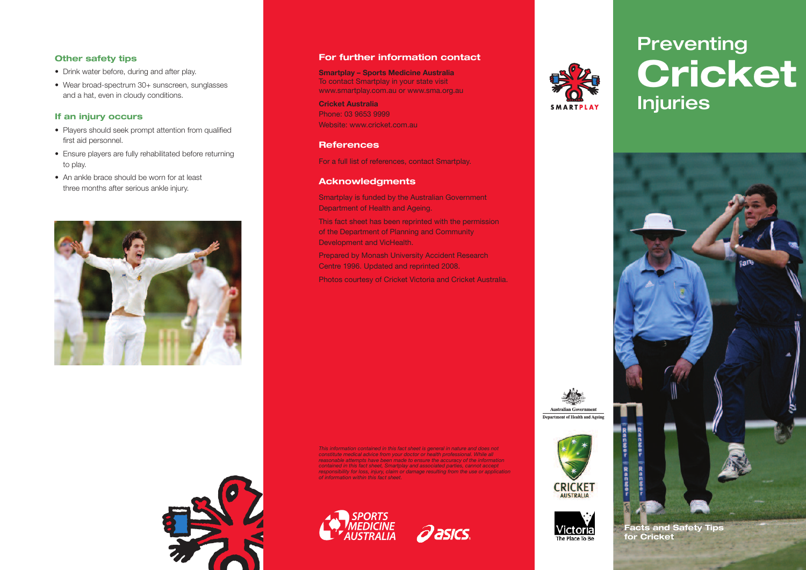#### **Other safety tips**

- Drink water before, during and after play.
- Wear broad-spectrum 30+ sunscreen, sunglasses and a hat, even in cloudy conditions.

#### **If an injury occurs**

- Players should seek prompt attention from qualified first aid personnel.
- Ensure players are fully rehabilitated before returning to play.
- An ankle brace should be worn for at least three months after serious ankle injury.



#### **For further information contact**

**Smartplay – Sports Medicine Australia** To contact Smartplay in your state visit www.smartplay.com.au or www.sma.org.au **Cricket Australia** Phone: 03 9653 9999

Website: www.cricket.com.au

#### **References**

For a full list of references, contact Smartplay.

#### **Acknowledgments**

Smartplay is funded by the Australian Government Department of Health and Ageing.

This fact sheet has been reprinted with the permission of the Department of Planning and Community Development and VicHealth.

Prepared by Monash University Accident Research Centre 1996. Updated and reprinted 2008.

Photos courtesy of Cricket Victoria and Cricket Australia.

This information contained in this fact sheet is general in nature and does not<br>constitute medical advice from your doctor or health professional. While all<br>reasonable attempts have been made to ensure the accuracy of the *contained in this fact sheet, Smartplay and associated parties, cannot accept* responsibility for loss, injury, claim or damage resulting from the use or application<br>of information within this fact sheet.







Australian Government

**CRICKET** 

Victoria The Place To Be

# **Preventing Cricket Injuries**